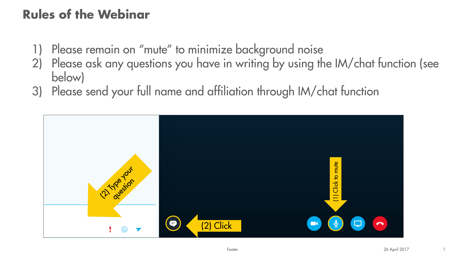### Rules of the Webinar

- Please remain on "mute" to minimize background noise
- 2) Please ask any questions you have in writing by using the IM/chat function (see below)
- 3) Please send your full name and affiliation through IM/chat function

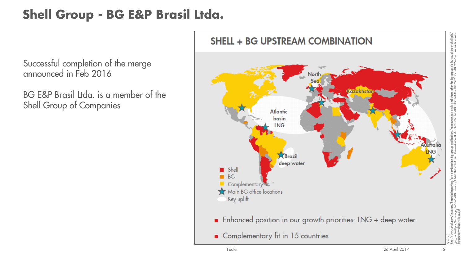### Shell Group - BG E&P Brasil Ltda.

Successful completion of the merge announced in Feb 2016

BG E&P Brasil Ltda. is a member of the Shell Group of Companies

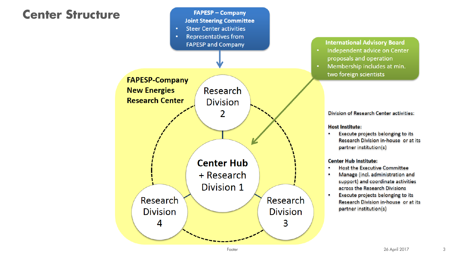#### Center Structure



#### **International Advisory Board**

- Independent advice on Center proposals and operation
- Membership includes at min. two foreign scientists

Division of Research Center activities:

**Host Institute:** 

Execute projects belonging to its Research Division in-house or at its partner institution(s)

#### **Center Hub Institute:**

- Host the Executive Committee
- Manage (incl. administration and support) and coordinate activities across the Research Divisions
- Execute projects belonging to its Research Division in-house or at its partner institution(s)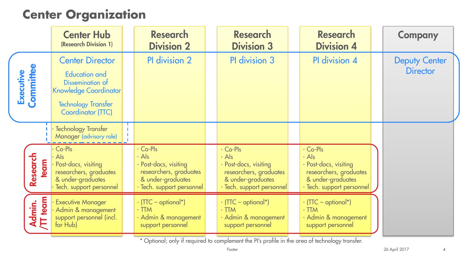#### Center Organization

|                            | <b>Center Hub</b><br>(Research Division 1)                                                                                                                   | <b>Research</b><br><b>Division 2</b>                                                                                   | <b>Research</b><br><b>Division 3</b>                                                                                   | <b>Research</b><br><b>Division 4</b>                                                                                     | <b>Company</b>                          |
|----------------------------|--------------------------------------------------------------------------------------------------------------------------------------------------------------|------------------------------------------------------------------------------------------------------------------------|------------------------------------------------------------------------------------------------------------------------|--------------------------------------------------------------------------------------------------------------------------|-----------------------------------------|
| Executive<br>Committee     | <b>Center Director</b><br><b>Education and</b><br>Dissemination of<br><b>Knowledge Coordinator</b><br><b>Technology Transfer</b><br><b>Coordinator (TTC)</b> | PI division 2                                                                                                          | PI division 3                                                                                                          | PI division 4                                                                                                            | <b>Deputy Center</b><br><b>Director</b> |
|                            | <b>Technology Transfer</b><br>Manager (advisory role)                                                                                                        |                                                                                                                        |                                                                                                                        |                                                                                                                          |                                         |
| Research<br><b>ream</b>    | Co-Pls<br>Also<br>Post-docs, visiting<br>researchers, graduates<br>& under-graduates<br>Tech. support personnel                                              | - Co-Pls<br>- Als<br>- Post-docs, visiting<br>researchers, graduates<br>& under-graduates<br>- Tech. support personnel | - Co-Pls<br>- Als<br>- Post-docs, visiting<br>researchers, graduates<br>& under-graduates<br>- Tech. support personnel | - Co-Pls<br>$-$ Als<br>- Post-docs, visiting<br>researchers, graduates<br>& under-graduates<br>- Tech. support personnel |                                         |
| team<br>Admin.<br>/TT team | <b>Executive Manager</b><br>Admin & management<br>support personnel (incl.<br>for Hub)                                                                       | $\cdot$ (TTC – optional*)<br>$-TTM$<br>- Admin & management<br>support personnel                                       | - (TTC – optional*)<br>$-TTM$<br>- Admin & management<br>support personnel                                             | $\cdot$ (TTC – optional*)<br>$-TTM$<br>- Admin & management<br>support personnel                                         |                                         |

\* Optional; only if required to complement the PI's profile in the area of technology transfer.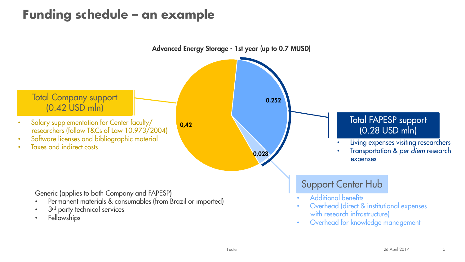### Funding schedule – an example

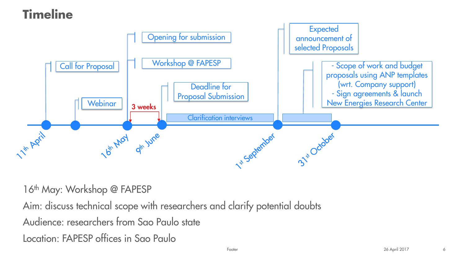# Timeline



16<sup>th</sup> May: Workshop @ FAPESP

Aim: discuss technical scope with researchers and clarify potential doubts Audience: researchers from Sao Paulo state Location: FAPESP offices in Sao Paulo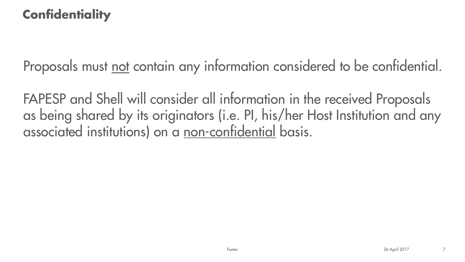### **Confidentiality**

Proposals must not contain any information considered to be confidential.

FAPESP and Shell will consider all information in the received Proposals as being shared by its originators (i.e. PI, his/her Host Institution and any associated institutions) on a non-confidential basis.